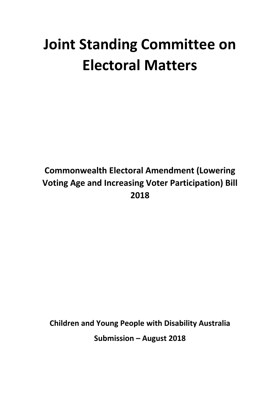# **Joint Standing Committee on Electoral Matters**

# **Commonwealth Electoral Amendment (Lowering Voting Age and Increasing Voter Participation) Bill 2018**

**Children and Young People with Disability Australia Submission – August 2018**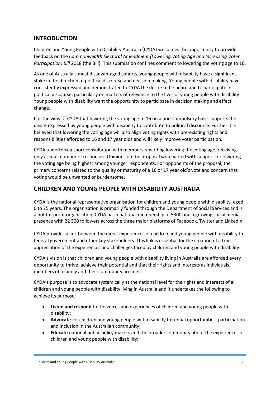### **INTRODUCTION**

Children and Young People with Disability Australia (CYDA) welcomes the opportunity to provide feedback on the *Commonwealth Electoral Amendment (Lowering Voting Age and Increasing Voter Participation) Bill* 2018 (the Bill). This submission confines comment to lowering the voting age to 16.

As one of Australia's most disadvantaged cohorts, young people with disability have a significant stake in the direction of political discourse and decision making. Young people with disability have consistently expressed and demonstrated to CYDA the desire to be heard and to participate in political discourse, particularly on matters of relevance to the lives of young people with disability. Young people with disability want the opportunity to participate in decision making and effect change.

It is the view of CYDA that lowering the voting age to 16 on a non-compulsory basis supports the desire expressed by young people with disability to contribute to political discourse. Further it is believed that lowering the voting age will also align voting rights with pre-existing rights and responsibilities afforded to 16 and 17 year olds and will likely improve voter participation.

CYDA undertook a short consultation with members regarding lowering the voting age, receiving only a small number of responses. Opinions on the proposal were varied with support for lowering the voting age being highest among younger respondents. For opponents of the proposal, the primary concerns related to the quality or maturity of a 16 or 17 year old's vote and concern that voting would be unwanted or burdensome.

#### **CHILDREN AND YOUNG PEOPLE WITH DISABILITY AUSTRALIA**

CYDA is the national representative organisation for children and young people with disability, aged 0 to 25 years. The organisation is primarily funded through the Department of Social Services and is a not for profit organisation. CYDA has a national membership of 5300 and a growing social media presence with 22 500 followers across the three major platforms of Facebook, Twitter and LinkedIn.

CYDA provides a link between the direct experiences of children and young people with disability to federal government and other key stakeholders. This link is essential for the creation of a true appreciation of the experiences and challenges faced by children and young people with disability.

CYDA's vision is that children and young people with disability living in Australia are afforded every opportunity to thrive, achieve their potential and that their rights and interests as individuals, members of a family and their community are met.

CYDA's purpose is to advocate systemically at the national level for the rights and interests of all children and young people with disability living in Australia and it undertakes the following to achieve its purpose:

- **Listen and respond** to the voices and experiences of children and young people with disability;
- **Advocate** for children and young people with disability for equal opportunities, participation and inclusion in the Australian community;
- **Educate** national public policy makers and the broader community about the experiences of children and young people with disability;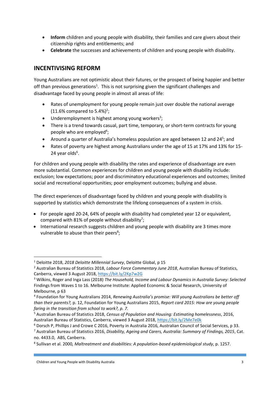- **Inform** children and young people with disability, their families and care givers about their citizenship rights and entitlements; and
- **Celebrate** the successes and achievements of children and young people with disability.

## **INCENTIVISING REFORM**

Young Australians are not optimistic about their futures, or the prospect of being happier and better off than previous generations<sup>1</sup>. This is not surprising given the significant challenges and disadvantage faced by young people in almost all areas of life:

- Rates of unemployment for young people remain just over double the national average  $(11.6\%$  compared to 5.4%)<sup>2</sup>;
- $\bullet$  Underemployment is highest among young workers<sup>3</sup>;
- There is a trend towards casual, part time, temporary, or short-term contracts for young people who are employed<sup>4</sup>;
- Around a quarter of Australia's homeless population are aged between 12 and 24<sup>5</sup>; and
- Rates of poverty are highest among Australians under the age of 15 at 17% and 13% for 15- 24 year olds<sup>6</sup>.

For children and young people with disability the rates and experience of disadvantage are even more substantial. Common experiences for children and young people with disability include: exclusion; low expectations; poor and discriminatory educational experiences and outcomes; limited social and recreational opportunities; poor employment outcomes; bullying and abuse.

The direct experiences of disadvantage faced by children and young people with disability is supported by statistics which demonstrate the lifelong consequences of a system in crisis.

- For people aged 20-24, 64% of people with disability had completed year 12 or equivalent, compared with 81% of people without disability<sup>7</sup>;
- International research suggests children and young people with disability are 3 times more vulnerable to abuse than their peers<sup>8</sup>;

 $\overline{a}$ 

<sup>1</sup> Deloitte 2018, *2018 Deloitte Millennial Survey*, Deloitte Global, p 15

<sup>2</sup> Australian Bureau of Statistics 2018, *Labour Force Commentary June 2018*, Australian Bureau of Statistics, Canberra, viewed 3 August 2018[, https://bit.ly/2Kp7w2G](https://bit.ly/2Kp7w2G)

<sup>3</sup> Wilkins, Roger and Inga Lass (2018) *The Household, Income and Labour Dynamics in Australia Survey: Selected* Findings from Waves 1 to 16. Melbourne Institute: Applied Economic & Social Research, University of Melbourne, p 63

<sup>4</sup> Foundation for Young Australians 2014, *Renewing Australia's promise: Will young Australians be better off than their parents?,* p. 12, Foundation for Young Australians 2015, *Report card 2015: How are young people faring in the transition from school to work?, p. 7.*

<sup>5</sup> Australian Bureau of Statistics 2018, *Census of Population and Housing: Estimating homelessness*, 2016, Australian Bureau of Statistics, Canberra, viewed 3 August 2018,<https://bit.ly/2Me7e0k>

<sup>6</sup> Dorsch P, Phillips J and Crowe C 2016, Poverty in Australia 2016, Australian Council of Social Services, p 33. <sup>7</sup> Australian Bureau of Statistics 2016, *Disability, Ageing and Carers, Australia: Summary of Findings, 2015*, Cat. no. 4433.0, ABS, Canberra.

<sup>8</sup> Sullivan et al. 2000*, Maltreatment and disabilities: A population-based epidemiological study*, p. 1257.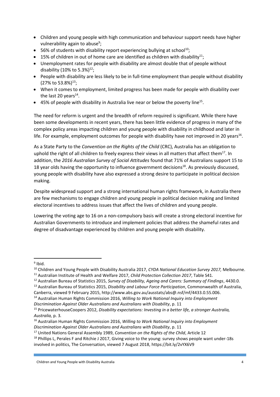- Children and young people with high communication and behaviour support needs have higher vulnerability again to abuse<sup>9</sup>;
- $\bullet$  56% of students with disability report experiencing bullying at school<sup>10</sup>;
- 15% of children in out of home care are identified as children with disability $^{11}$ ;
- Unemployment rates for people with disability are almost double that of people without disability (10% to 5.3%)<sup>12</sup>;
- People with disability are less likely to be in full-time employment than people without disability  $(27\% \text{ to } 53.8\%)^{13}$ ;
- When it comes to employment, limited progress has been made for people with disability over the last 20 years $^{14}$ .
- $\bullet$  45% of people with disability in Australia live near or below the poverty line<sup>15</sup>.

The need for reform is urgent and the breadth of reform required is significant. While there have been some developments in recent years, there has been little evidence of progress in many of the complex policy areas impacting children and young people with disability in childhood and later in life. For example, employment outcomes for people with disability have not improved in 20 years<sup>16</sup>.

As a State Party to the *Convention on the Rights of the Child* (CRC), Australia has an obligation to uphold the right of all children to freely express their views in all matters that affect them<sup>17</sup>. In addition, the *2016 Australian Survey of Social Attitudes* found that 71% of Australians support 15 to 18 year olds having the opportunity to influence government decisions<sup>18</sup>. As previously discussed, young people with disability have also expressed a strong desire to participate in political decision making.

Despite widespread support and a strong international human rights framework, in Australia there are few mechanisms to engage children and young people in political decision making and limited electoral incentives to address issues that affect the lives of children and young people.

Lowering the voting age to 16 on a non-compulsory basis will create a strong electoral incentive for Australian Governments to introduce and implement policies that address the shameful rates and degree of disadvantage experienced by children and young people with disability.

<sup>16</sup> Australian Human Rights Commission 2016, *Willing to Work National Inquiry into Employment Discrimination Against Older Australians and Australians with Disability*, p. 11

<sup>1</sup> <sup>9</sup> Ibid.

<sup>10</sup> Children and Young People with Disability Australia 2017, *CYDA National Education Survey 2017,* Melbourne.

<sup>11</sup> Australian Institute of Health and Welfare 2017, *Child Protection Collection 2017*, Table S41.

<sup>12</sup> Australian Bureau of Statistics 2015, *Survey of Disability, Ageing and Carers: Summary of Findings*, 4430.0.

<sup>13</sup> Australian Bureau of Statistics 2015, *Disability and Labour Force Participation*, Commonwealth of Australia, Canberra, viewed 9 February 2015, http://www.abs.gov.au/ausstats/abs@.nsf/mf/4433.0.55.006.

<sup>14</sup> Australian Human Rights Commission 2016, *Willing to Work National Inquiry into Employment* 

*Discrimination Against Older Australians and Australians with Disability*, p. 11

<sup>15</sup> PricewaterhouseCoopers 2012, *Disability expectations: Investing in a better life, a stronger Australia, Australia,* p. 3*.*

<sup>17</sup> United Nations General Assembly 1989, *Convention on the Rights of the Child*, Article 12

 $18$  Phillips L, Perales F and Ritchie J 2017. Giving voice to the young: survey shows people want under-18s involved in politics, The Conversation, viewed 7 August 2018, https://bit.ly/2vYX6V9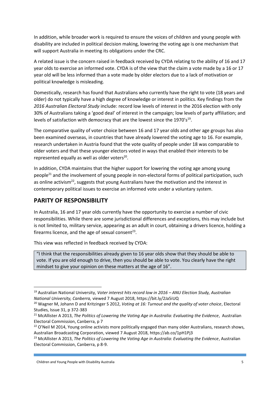In addition, while broader work is required to ensure the voices of children and young people with disability are included in political decision making, lowering the voting age is one mechanism that will support Australia in meeting its obligations under the CRC.

A related issue is the concern raised in feedback received by CYDA relating to the ability of 16 and 17 year olds to exercise an informed vote. CYDA is of the view that the claim a vote made by a 16 or 17 year old will be less informed than a vote made by older electors due to a lack of motivation or political knowledge is misleading.

Domestically, research has found that Australians who currently have the right to vote (18 years and older) do not typically have a high degree of knowledge or interest in politics. Key findings from the *2016 Australian Electoral Study* include: record low levels of interest in the 2016 election with only 30% of Australians taking a 'good deal' of interest in the campaign; low levels of party affiliation; and levels of satisfaction with democracy that are the lowest since the  $1970's^{19}$ .

The comparative quality of voter choice between 16 and 17 year olds and other age groups has also been examined overseas, in countries that have already lowered the voting age to 16. For example, research undertaken in Austria found that the vote quality of people under 18 was comparable to older voters and that these younger electors voted in ways that enabled their interests to be represented equally as well as older voters<sup>20</sup>.

In addition, CYDA maintains that the higher support for lowering the voting age among young people<sup>21</sup> and the involvement of young people in non-electoral forms of political participation, such as online activism<sup>22</sup>, suggests that young Australians have the motivation and the interest in contemporary political issues to exercise an informed vote under a voluntary system.

### **PARITY OF RESPONSIBILITY**

1

In Australia, 16 and 17 year olds currently have the opportunity to exercise a number of civic responsibilities. While there are some jurisdictional differences and exceptions, this may include but is not limited to, military service, appearing as an adult in court, obtaining a drivers licence, holding a firearms licence, and the age of sexual consent<sup>23</sup>.

This view was reflected in feedback received by CYDA:

"I think that the responsibilities already given to 16 year olds show that they should be able to vote. If you are old enough to drive, then you should be able to vote. You clearly have the right mindset to give your opinion on these matters at the age of 16".

<sup>19</sup> Australian National University, *Voter interest hits record low in 2016 – ANU Election Study, Australian National University, Canberra,* viewed 7 August 2018, https://bit.ly/2Ja5iUQ

<sup>20</sup> Wagner M, Johann D and Kritzinger S 2012, *Voting at 16: Turnout and the quality of voter choice*, Electoral Studies, Issue 31, p 372-383

<sup>21</sup> McAllister A 2013, *The Politics of Lowering the Voting Age in Australia: Evaluating the Evidence*, Australian Electoral Commission, Canberra, p 7

<sup>&</sup>lt;sup>22</sup> O'Neil M 2014, Young online activists more politically engaged than many older Australians, research shows, Australian Broadcasting Corporation, viewed 7 August 2018, https://ab.co/1pH1Pj3

<sup>23</sup> McAllister A 2013, *The Politics of Lowering the Voting Age in Australia: Evaluating the Evidence*, Australian Electoral Commission, Canberra, p 8-9.

Children and Young People with Disability Australia 5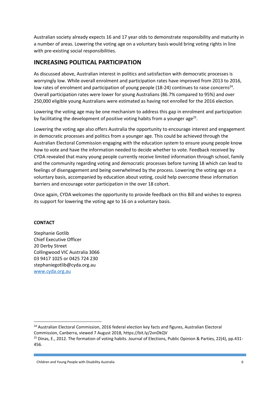Australian society already expects 16 and 17 year olds to demonstrate responsibility and maturity in a number of areas. Lowering the voting age on a voluntary basis would bring voting rights in line with pre-existing social responsibilities.

#### **INCREASING POLITICAL PARTICIPATION**

As discussed above, Australian interest in politics and satisfaction with democratic processes is worryingly low. While overall enrolment and participation rates have improved from 2013 to 2016, low rates of enrolment and participation of young people (18-24) continues to raise concerns<sup>24</sup>. Overall participation rates were lower for young Australians (86.7% compared to 95%) and over 250,000 eligible young Australians were estimated as having not enrolled for the 2016 election.

Lowering the voting age may be one mechanism to address this gap in enrolment and participation by facilitating the development of positive voting habits from a younger age<sup>25</sup>.

Lowering the voting age also offers Australia the opportunity to encourage interest and engagement in democratic processes and politics from a younger age. This could be achieved through the Australian Electoral Commission engaging with the education system to ensure young people know how to vote and have the information needed to decide whether to vote. Feedback received by CYDA revealed that many young people currently receive limited information through school, family and the community regarding voting and democratic processes before turning 18 which can lead to feelings of disengagement and being overwhelmed by the process. Lowering the voting age on a voluntary basis, accompanied by education about voting, could help overcome these information barriers and encourage voter participation in the over 18 cohort.

Once again, CYDA welcomes the opportunity to provide feedback on this Bill and wishes to express its support for lowering the voting age to 16 on a voluntary basis.

#### **CONTACT**

 $\overline{a}$ 

Stephanie Gotlib Chief Executive Officer 20 Derby Street Collingwood VIC Australia 3066 03 9417 1025 or 0425 724 230 stephaniegotlib@cyda.org.au [www.cyda.org.au](http://www.cyda.org.au/)

<sup>&</sup>lt;sup>24</sup> Australian Electoral Commission, 2016 federal election key facts and figures, Australian Electoral Commission, Canberra, viewed 7 August 2018, https://bit.ly/2vnDkQV

<sup>&</sup>lt;sup>25</sup> Dinas, E., 2012. The formation of voting habits. Journal of Elections, Public Opinion & Parties, 22(4), pp.431-456.

Children and Young People with Disability Australia 6